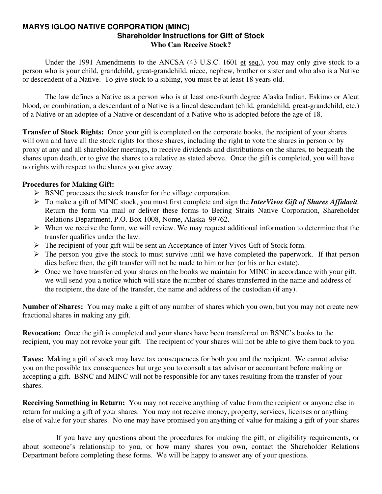#### **MARYS IGLOO NATIVE CORPORATION (MINC) Shareholder Instructions for Gift of Stock Who Can Receive Stock?**

 Under the 1991 Amendments to the ANCSA (43 U.S.C. 1601 et seq.), you may only give stock to a person who is your child, grandchild, great-grandchild, niece, nephew, brother or sister and who also is a Native or descendent of a Native. To give stock to a sibling, you must be at least 18 years old.

 The law defines a Native as a person who is at least one-fourth degree Alaska Indian, Eskimo or Aleut blood, or combination; a descendant of a Native is a lineal descendant (child, grandchild, great-grandchild, etc.) of a Native or an adoptee of a Native or descendant of a Native who is adopted before the age of 18.

**Transfer of Stock Rights:** Once your gift is completed on the corporate books, the recipient of your shares will own and have all the stock rights for those shares, including the right to vote the shares in person or by proxy at any and all shareholder meetings, to receive dividends and distributions on the shares, to bequeath the shares upon death, or to give the shares to a relative as stated above. Once the gift is completed, you will have no rights with respect to the shares you give away.

### **Procedures for Making Gift:**

- $\triangleright$  BSNC processes the stock transfer for the village corporation.
- ¾ To make a gift of MINC stock, you must first complete and sign the *InterVivos Gift of Shares Affidavit.* Return the form via mail or deliver these forms to Bering Straits Native Corporation, Shareholder Relations Department, P.O. Box 1008, Nome, Alaska 99762.
- $\triangleright$  When we receive the form, we will review. We may request additional information to determine that the transfer qualifies under the law.
- $\triangleright$  The recipient of your gift will be sent an Acceptance of Inter Vivos Gift of Stock form.
- $\triangleright$  The person you give the stock to must survive until we have completed the paperwork. If that person dies before then, the gift transfer will not be made to him or her (or his or her estate).
- $\triangleright$  Once we have transferred your shares on the books we maintain for MINC in accordance with your gift, we will send you a notice which will state the number of shares transferred in the name and address of the recipient, the date of the transfer, the name and address of the custodian (if any).

**Number of Shares:** You may make a gift of any number of shares which you own, but you may not create new fractional shares in making any gift.

**Revocation:** Once the gift is completed and your shares have been transferred on BSNC's books to the recipient, you may not revoke your gift. The recipient of your shares will not be able to give them back to you.

**Taxes:** Making a gift of stock may have tax consequences for both you and the recipient. We cannot advise you on the possible tax consequences but urge you to consult a tax advisor or accountant before making or accepting a gift. BSNC and MINC will not be responsible for any taxes resulting from the transfer of your shares.

**Receiving Something in Return:** You may not receive anything of value from the recipient or anyone else in return for making a gift of your shares. You may not receive money, property, services, licenses or anything else of value for your shares. No one may have promised you anything of value for making a gift of your shares

 If you have any questions about the procedures for making the gift, or eligibility requirements, or about someone's relationship to you, or how many shares you own, contact the Shareholder Relations Department before completing these forms. We will be happy to answer any of your questions.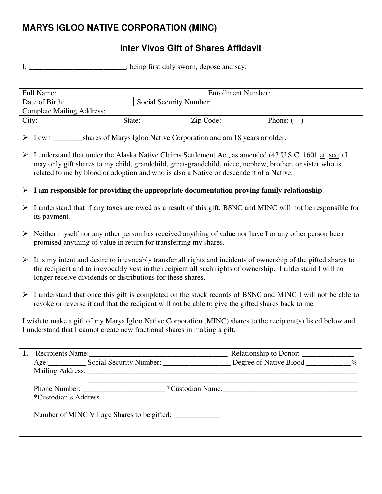# **MARYS IGLOO NATIVE CORPORATION (MINC)**

### **Inter Vivos Gift of Shares Affidavit**

I, \_\_\_\_\_\_\_\_\_\_\_\_\_\_\_\_\_\_\_\_\_\_, being first duly sworn, depose and say:

| Full Name:                       |                         | <b>Enrollment Number:</b> |        |
|----------------------------------|-------------------------|---------------------------|--------|
| Date of Birth:                   | Social Security Number: |                           |        |
| <b>Complete Mailing Address:</b> |                         |                           |        |
| City:                            | State:                  | Zip Code:                 | Phone: |

ightharpoonup Shares of Marys Igloo Native Corporation and am 18 years or older.

- ¾ I understand that under the Alaska Native Claims Settlement Act, as amended (43 U.S.C. 1601 et. seq.) I may only gift shares to my child, grandchild, great-grandchild, niece, nephew, brother, or sister who is related to me by blood or adoption and who is also a Native or descendent of a Native.
- $\triangleright$  **I** am responsible for providing the appropriate documentation proving family relationship.
- ¾ I understand that if any taxes are owed as a result of this gift, BSNC and MINC will not be responsible for its payment.
- $\triangleright$  Neither myself nor any other person has received anything of value nor have I or any other person been promised anything of value in return for transferring my shares.
- $\triangleright$  It is my intent and desire to irrevocably transfer all rights and incidents of ownership of the gifted shares to the recipient and to irrevocably vest in the recipient all such rights of ownership. I understand I will no longer receive dividends or distributions for these shares.
- ¾ I understand that once this gift is completed on the stock records of BSNC and MINC I will not be able to revoke or reverse it and that the recipient will not be able to give the gifted shares back to me.

I wish to make a gift of my Marys Igloo Native Corporation (MINC) shares to the recipient(s) listed below and I understand that I cannot create new fractional shares in making a gift.

|  | Recipients Name:                                                |                  |  |
|--|-----------------------------------------------------------------|------------------|--|
|  | Age: Social Security Number: Degree of Native Blood _________ % |                  |  |
|  | Mailing Address: New York 1988.                                 |                  |  |
|  | *Custodian's Address <b>matrices</b>                            | *Custodian Name: |  |
|  | Number of <u>MINC Village Shares</u> to be gifted:              |                  |  |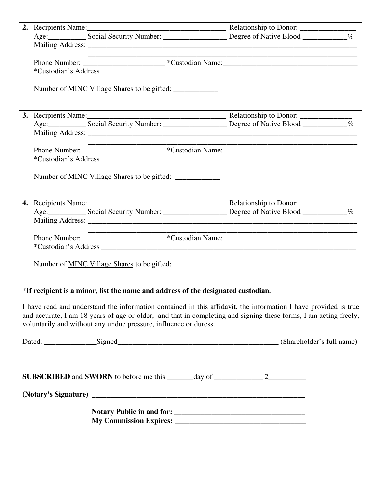|  | the control of the control of the control of the control of the control of |  |
|--|----------------------------------------------------------------------------|--|
|  |                                                                            |  |
|  |                                                                            |  |
|  | Number of <u>MINC Village Shares</u> to be gifted:                         |  |
|  |                                                                            |  |
|  |                                                                            |  |
|  |                                                                            |  |
|  |                                                                            |  |
|  |                                                                            |  |
|  |                                                                            |  |
|  | Number of <u>MINC Village Shares</u> to be gifted:                         |  |
|  |                                                                            |  |
|  |                                                                            |  |
|  |                                                                            |  |
|  |                                                                            |  |
|  |                                                                            |  |
|  |                                                                            |  |
|  | Number of <u>MINC Village Shares</u> to be gifted:                         |  |

### \***If recipient is a minor, list the name and address of the designated custodian.**

I have read and understand the information contained in this affidavit, the information I have provided is true and accurate, I am 18 years of age or older, and that in completing and signing these forms, I am acting freely, voluntarily and without any undue pressure, influence or duress.

| <b>SUBSCRIBED</b> and <b>SWORN</b> to before me this $\_\_\_\_\_$ day of $\_\_\_\_\_\_$ 2 |  |
|-------------------------------------------------------------------------------------------|--|
|                                                                                           |  |
| My Commission Expires: 2008. The Commission Expires:                                      |  |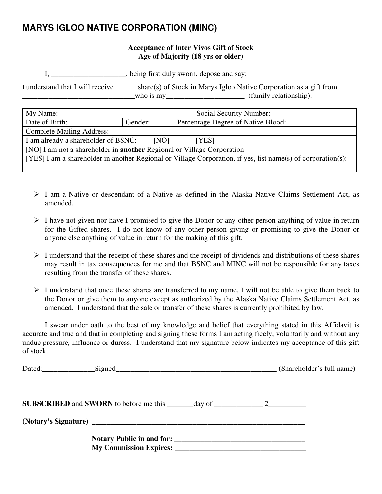# **MARYS IGLOO NATIVE CORPORATION (MINC)**

### **Acceptance of Inter Vivos Gift of Stock Age of Majority (18 yrs or older)**

I, \_\_\_\_\_\_\_\_\_\_\_\_\_\_\_\_\_\_\_\_, being first duly sworn, depose and say:

I understand that I will receive \_\_\_\_\_\_share(s) of Stock in Marys Igloo Native Corporation as a gift from who is my\_\_\_\_\_\_\_\_\_\_\_\_\_\_\_\_\_\_\_\_\_\_\_\_\_\_ (family relationship).

| My Name:                                                                                                     | Social Security Number: |                                    |  |
|--------------------------------------------------------------------------------------------------------------|-------------------------|------------------------------------|--|
| Date of Birth:                                                                                               | Gender:                 | Percentage Degree of Native Blood: |  |
| <b>Complete Mailing Address:</b>                                                                             |                         |                                    |  |
| I am already a shareholder of BSNC:<br>[NO]<br>[YES]                                                         |                         |                                    |  |
| [NO] I am not a shareholder in <b>another</b> Regional or Village Corporation                                |                         |                                    |  |
| [YES] I am a shareholder in another Regional or Village Corporation, if yes, list name(s) of corporation(s): |                         |                                    |  |
|                                                                                                              |                         |                                    |  |

- ¾ I am a Native or descendant of a Native as defined in the Alaska Native Claims Settlement Act, as amended.
- $\triangleright$  I have not given nor have I promised to give the Donor or any other person anything of value in return for the Gifted shares. I do not know of any other person giving or promising to give the Donor or anyone else anything of value in return for the making of this gift.
- $\triangleright$  I understand that the receipt of these shares and the receipt of dividends and distributions of these shares may result in tax consequences for me and that BSNC and MINC will not be responsible for any taxes resulting from the transfer of these shares.
- $\triangleright$  I understand that once these shares are transferred to my name, I will not be able to give them back to the Donor or give them to anyone except as authorized by the Alaska Native Claims Settlement Act, as amended. I understand that the sale or transfer of these shares is currently prohibited by law.

 I swear under oath to the best of my knowledge and belief that everything stated in this Affidavit is accurate and true and that in completing and signing these forms I am acting freely, voluntarily and without any undue pressure, influence or duress. I understand that my signature below indicates my acceptance of this gift of stock.

| Dated: Signed Signed Signed Communication of the Signed Signed Communication of the Signed Communication of the Signed Communication of the Signed Communication of the Signed Communication of the Signed Communication of th | (Shareholder's full name) |
|--------------------------------------------------------------------------------------------------------------------------------------------------------------------------------------------------------------------------------|---------------------------|
| <b>SUBSCRIBED</b> and <b>SWORN</b> to before me this $\_\_\_\_\_$ day of $\_\_\_\_\_\_$ 2 $\_\_\_\_\_\_$                                                                                                                       |                           |
| (Notary's Signature) has a series of the series of the series of the series of the series of the series of the series of the series of the series of the series of the series of the series of the series of the series of the |                           |
|                                                                                                                                                                                                                                |                           |